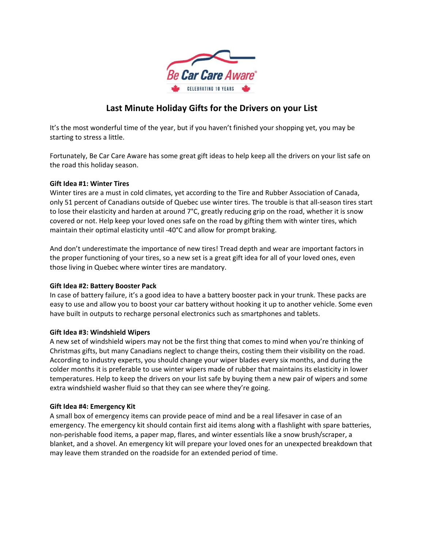

# **Last Minute Holiday Gifts for the Drivers on your List**

It's the most wonderful time of the year, but if you haven't finished your shopping yet, you may be starting to stress a little.

Fortunately, Be Car Care Aware has some great gift ideas to help keep all the drivers on your list safe on the road this holiday season.

### **Gift Idea #1: Winter Tires**

Winter tires are a must in cold climates, yet according to the Tire and Rubber Association of Canada, only 51 percent of Canadians outside of Quebec use winter tires. The trouble is that all‐season tires start to lose their elasticity and harden at around 7°C, greatly reducing grip on the road, whether it is snow covered or not. Help keep your loved ones safe on the road by gifting them with winter tires, which maintain their optimal elasticity until ‐40°C and allow for prompt braking.

And don't underestimate the importance of new tires! Tread depth and wear are important factors in the proper functioning of your tires, so a new set is a great gift idea for all of your loved ones, even those living in Quebec where winter tires are mandatory.

#### **Gift Idea #2: Battery Booster Pack**

In case of battery failure, it's a good idea to have a battery booster pack in your trunk. These packs are easy to use and allow you to boost your car battery without hooking it up to another vehicle. Some even have built in outputs to recharge personal electronics such as smartphones and tablets.

# **Gift Idea #3: Windshield Wipers**

A new set of windshield wipers may not be the first thing that comes to mind when you're thinking of Christmas gifts, but many Canadians neglect to change theirs, costing them their visibility on the road. According to industry experts, you should change your wiper blades every six months, and during the colder months it is preferable to use winter wipers made of rubber that maintains its elasticity in lower temperatures. Help to keep the drivers on your list safe by buying them a new pair of wipers and some extra windshield washer fluid so that they can see where they're going.

# **Gift Idea #4: Emergency Kit**

A small box of emergency items can provide peace of mind and be a real lifesaver in case of an emergency. The emergency kit should contain first aid items along with a flashlight with spare batteries, non‐perishable food items, a paper map, flares, and winter essentials like a snow brush/scraper, a blanket, and a shovel. An emergency kit will prepare your loved ones for an unexpected breakdown that may leave them stranded on the roadside for an extended period of time.